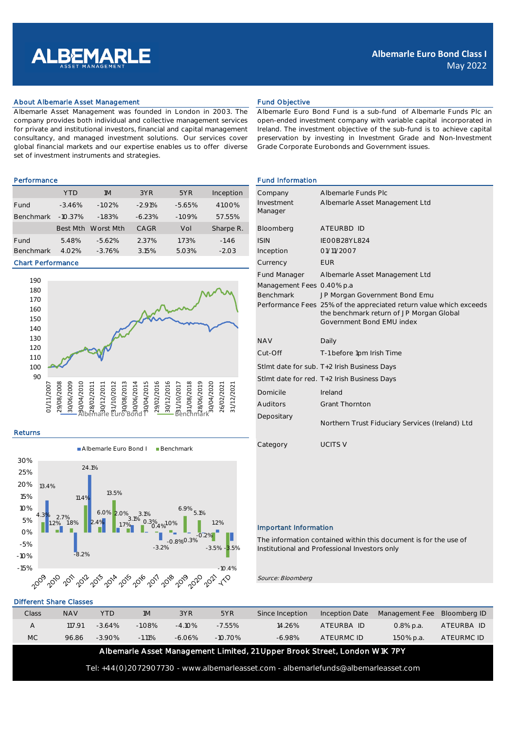

## About Albemarle Asset Management Fund Objective

Albemarle Asset Management was founded in London in 2003. The company provides both individual and collective management services for private and institutional investors, financial and capital management consultancy, and managed investment solutions. Our services cover global financial markets and our expertise enables us to offer diverse set of investment instruments and strategies.

|                  | <b>YTD</b> | 1M        | 3YR      | 5YR      | Inception | Company     | Albemarle Fun  |  |
|------------------|------------|-----------|----------|----------|-----------|-------------|----------------|--|
| Fund             | $-3.46%$   | $-1.02%$  | $-2.91%$ | $-5.65%$ | 41.00%    | Investment  | Albemarle Asse |  |
| <b>Benchmark</b> | $-10.37\%$ | $-1.83%$  | $-6.23%$ | $-1.09%$ | 57.55%    | Manager     |                |  |
|                  | Best Mth   | Worst Mth | CAGR     | Vol      | Sharpe R. | Bloomberg   | ATEURBD ID     |  |
| Fund             | 5.48%      | $-5.62%$  | 2.37%    | 1.73%    | $-1.46$   | <b>ISIN</b> | IEOOB28YL824   |  |
| <b>Benchmark</b> | 4.02%      | $-3.76%$  | 3.15%    | 5.03%    | $-2.03$   | Inception   | 01/11/2007     |  |

## Chart Performance



# Returns



# Different Share Classes

| Class | <b>NAV</b> | <b>YTD</b> | 1M        | 3YR       | 5YR        | Since Inception | <b>Inception Date</b> | Management Fee Bloomberg ID |            |
|-------|------------|------------|-----------|-----------|------------|-----------------|-----------------------|-----------------------------|------------|
|       | 117.91     | $-364%$    | $-1.08\%$ | $-4.10\%$ | $-7.55\%$  | 14.26%          | ATFURBA ID            | $0.8\%$ p.a.                | ATEURBA ID |
| MC    | 96.86      | $-3.90\%$  | $-1.11%$  | $-6.06\%$ | $-10.70\%$ | $-6.98%$        | ATFURMC ID            | 1.50% p.a.                  | ATEURMC ID |

Albemarle Asset Management Limited, 21 Upper Brook Street, London W1K 7PY

Tel: +44(0)2072907730 - www.albemarleasset.com - albemarlefunds@albemarleasset.com

Albemarle Euro Bond Fund is a sub-fund of Albemarle Funds Plc an open-ended investment company with variable capital incorporated in Ireland. The investment objective of the sub-fund is to achieve capital preservation by investing in Investment Grade and Non-Investment Grade Corporate Eurobonds and Government issues.

#### Performance **Fund Information**

| Company                   | Albemarle Funds Plc                                                |
|---------------------------|--------------------------------------------------------------------|
| Investment                | Albemarle Asset Management Ltd                                     |
| Manager                   |                                                                    |
|                           |                                                                    |
| Bloomberg                 | ATEURBD ID                                                         |
| <b>ISIN</b>               | IEOOB28YL824                                                       |
| Inception                 | 01/11/2007                                                         |
| Currency                  | <b>EUR</b>                                                         |
| <b>Fund Manager</b>       | Albemarle Asset Management Ltd                                     |
| Management Fees 0.40% p.a |                                                                    |
| <b>Benchmark</b>          | JP Morgan Government Bond Emu                                      |
|                           | Performance Fees 25% of the appreciated return value which exceeds |
|                           | the benchmark return of JP Morgan Global                           |
|                           | Government Bond EMU index                                          |
| <b>NAV</b>                | Daily                                                              |
| Cut-Off                   | T-1 before 1pm Irish Time                                          |
|                           | Stlmt date for sub. T+2 Irish Business Days                        |
|                           | Stimt date for red. T+2 Irish Business Days                        |
| Domicile                  | Ireland                                                            |
| Auditors                  | <b>Grant Thornton</b>                                              |
| Depositary                | Northern Trust Fiduciary Services (Ireland) Ltd                    |
| Category                  | <b>UCITS V</b>                                                     |

### Important Information

The information contained within this document is for the use of Institutional and Professional Investors only

Source: Bloomberg